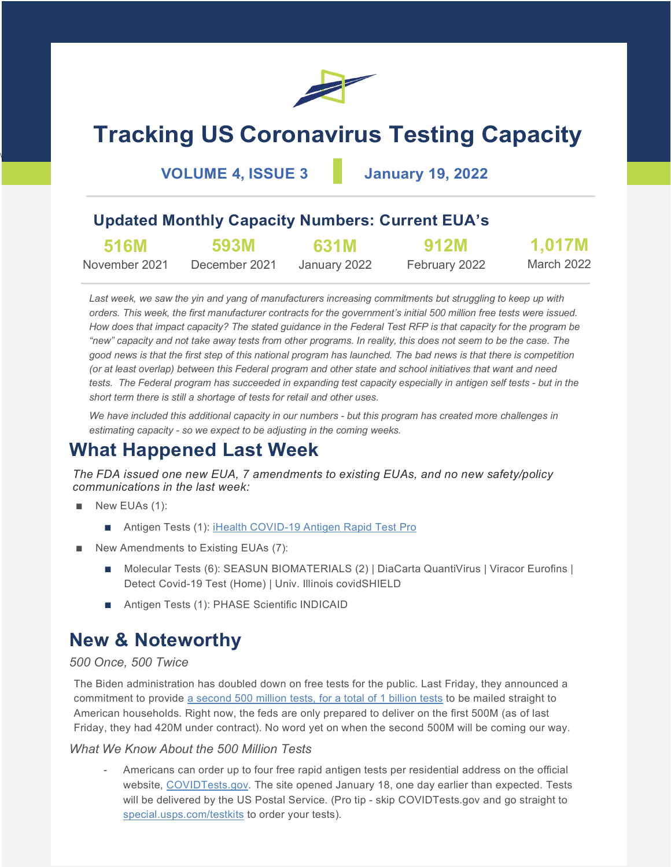

# **Tracking US Coronavirus Testing Capacity**

**VOLUME 4, ISSUE 3 January 19, 2022**

### **Updated Monthly Capacity Numbers: Current EUA's**

| <b>516M</b>   | 593M          | 631M         | <b>912M</b>   | 1,017M     |
|---------------|---------------|--------------|---------------|------------|
| November 2021 | December 2021 | January 2022 | February 2022 | March 2022 |

*Last week, we saw the yin and yang of manufacturers increasing commitments but struggling to keep up with orders. This week, the first manufacturer contracts for the government's initial 500 million free tests were issued. How does that impact capacity? The stated guidance in the Federal Test RFP is that capacity for the program be "new" capacity and not take away tests from other programs. In reality, this does not seem to be the case. The good news is that the first step of this national program has launched. The bad news is that there is competition (or at least overlap) between this Federal program and other state and school initiatives that want and need tests. The Federal program has succeeded in expanding test capacity especially in antigen self tests - but in the short term there is still a shortage of tests for retail and other uses.* 

*We have included this additional capacity in our numbers - but this program has created more challenges in estimating capacity - so we expect to be adjusting in the coming weeks.*

### **What Happened Last Week**

*The FDA issued one new EUA, 7 amendments to existing EUAs, and no new safety/policy communications in the last week:*

New EUAs (1):

 $\overline{\phantom{a}}$ 

- Antigen Tests (1): [iHealth COVID-19 Antigen Rapid Test Pro](https://www.fda.gov/media/155487/download)
- New Amendments to Existing EUAs (7):
	- Molecular Tests (6): SEASUN BIOMATERIALS (2) | DiaCarta QuantiVirus | Viracor Eurofins | Detect Covid-19 Test (Home) | Univ. Illinois covidSHIELD
	- Antigen Tests (1): PHASE Scientific INDICAID

### **New & Noteworthy**

#### *500 Once, 500 Twice*

The Biden administration has doubled down on free tests for the public. Last Friday, they announced a commitment to provide [a second 500 million tests, for a total of 1 billion tests](https://www.whitehouse.gov/briefing-room/statements-releases/2022/01/14/fact-sheet-the-biden-administration-to-begin-distributing-at-home-rapid-covid-19-tests-to-americans-for-free/) to be mailed straight to American households. Right now, the feds are only prepared to deliver on the first 500M (as of last Friday, they had 420M under contract). No word yet on when the second 500M will be coming our way.

#### *What We Know About the 500 Million Tests*

- Americans can order up to four free rapid antigen tests per residential address on the official website, [COVIDTests.gov.](https://www.covidtests.gov/) The site opened January 18, one day earlier than expected. Tests will be delivered by the US Postal Service. (Pro tip - skip COVIDTests.gov and go straight to [special.usps.com/testkits](https://special.usps.com/testkits) to order your tests).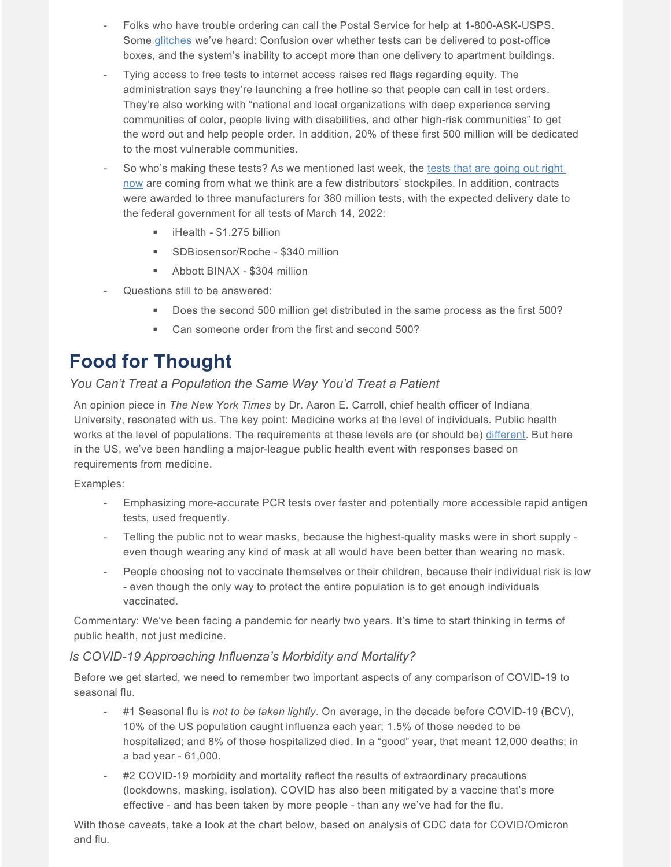- Folks who have trouble ordering can call the Postal Service for help at 1-800-ASK-USPS. Some [glitches](https://www.nytimes.com/2022/01/18/us/politics/government-website-covid-tests.html) we've heard: Confusion over whether tests can be delivered to post-office boxes, and the system's inability to accept more than one delivery to apartment buildings.
- Tying access to free tests to internet access raises red flags regarding equity. The administration says they're launching a free hotline so that people can call in test orders. They're also working with "national and local organizations with deep experience serving communities of color, people living with disabilities, and other high-risk communities" to get the word out and help people order. In addition, 20% of these first 500 million will be dedicated to the most vulnerable communities.
- So who's making these tests? As we mentioned last week, the tests that are going out right [now](https://www.cnn.com/2022/01/07/politics/covid-19-rapid-test-contract-signed/index.html?utm_source=Sailthru&utm_medium=email&utm_campaign=Issue:%202022-01-10%20MedTech%20Dive%20%5Bissue:39023%5D&utm_term=MedTech%20Dive) are coming from what we think are a few distributors' stockpiles. In addition, contracts were awarded to three manufacturers for 380 million tests, with the expected delivery date to the federal government for all tests of March 14, 2022:
	- iHealth \$1.275 billion
	- **SDBiosensor/Roche \$340 million**
	- Abbott BINAX \$304 million
- Questions still to be answered:
	- Does the second 500 million get distributed in the same process as the first 500?
	- **EXECT** Can someone order from the first and second 500?

## **Food for Thought**

#### *You Can't Treat a Population the Same Way You'd Treat a Patient*

An opinion piece in *The New York Times* by Dr. Aaron E. Carroll, chief health officer of Indiana University, resonated with us. The key point: Medicine works at the level of individuals. Public health works at the level of populations. The requirements at these levels are (or should be) [different.](https://www.nytimes.com/2022/01/14/opinion/covid-america.html) But here in the US, we've been handling a major-league public health event with responses based on requirements from medicine.

#### Examples:

- Emphasizing more-accurate PCR tests over faster and potentially more accessible rapid antigen tests, used frequently.
- Telling the public not to wear masks, because the highest-quality masks were in short supply even though wearing any kind of mask at all would have been better than wearing no mask.
- People choosing not to vaccinate themselves or their children, because their individual risk is low - even though the only way to protect the entire population is to get enough individuals vaccinated.

Commentary: We've been facing a pandemic for nearly two years. It's time to start thinking in terms of public health, not just medicine.

#### *Is COVID-19 Approaching Influenza's Morbidity and Mortality?*

Before we get started, we need to remember two important aspects of any comparison of COVID-19 to seasonal flu.

- #1 Seasonal flu is *not to be taken lightly*. On average, in the decade before COVID-19 (BCV), 10% of the US population caught influenza each year; 1.5% of those needed to be hospitalized; and 8% of those hospitalized died. In a "good" year, that meant 12,000 deaths; in a bad year - 61,000.
- #2 COVID-19 morbidity and mortality reflect the results of extraordinary precautions (lockdowns, masking, isolation). COVID has also been mitigated by a vaccine that's more effective - and has been taken by more people - than any we've had for the flu.

With those caveats, take a look at the chart below, based on analysis of CDC data for COVID/Omicron and flu.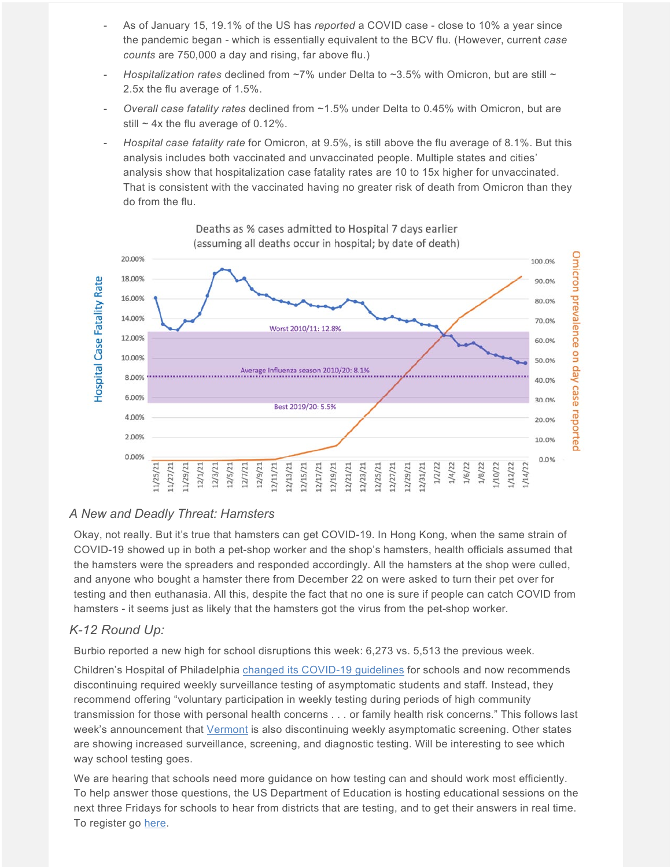- As of January 15, 19.1% of the US has *reported* a COVID case close to 10% a year since the pandemic began - which is essentially equivalent to the BCV flu. (However, current *case counts* are 750,000 a day and rising, far above flu.)
- *Hospitalization rates* declined from ~7% under Delta to ~3.5% with Omicron, but are still ~ 2.5x the flu average of 1.5%.
- *Overall case fatality rates* declined from ~1.5% under Delta to 0.45% with Omicron, but are still  $\sim$  4x the flu average of 0.12%.
- *Hospital case fatality rate* for Omicron, at 9.5%, is still above the flu average of 8.1%. But this analysis includes both vaccinated and unvaccinated people. Multiple states and cities' analysis show that hospitalization case fatality rates are 10 to 15x higher for unvaccinated. That is consistent with the vaccinated having no greater risk of death from Omicron than they do from the flu.



Deaths as % cases admitted to Hospital 7 days earlier

#### *A New and Deadly Threat: Hamsters*

Okay, not really. But it's true that hamsters can get COVID-19. In Hong Kong, when the same strain of COVID-19 showed up in both a pet-shop worker and the shop's hamsters, health officials assumed that the hamsters were the spreaders and responded accordingly. All the hamsters at the shop were culled, and anyone who bought a hamster there from December 22 on were asked to turn their pet over for testing and then euthanasia. All this, despite the fact that no one is sure if people can catch COVID from hamsters - it seems just as likely that the hamsters got the virus from the pet-shop worker.

#### *K-12 Round Up:*

Burbio reported a new high for school disruptions this week: 6,273 vs. 5,513 the previous week.

Children's Hospital of Philadelphia [changed its COVID-19 guidelines](https://policylab.chop.edu/sites/default/files/pdf/publications/PolicyLab-Guidance-In-person-Education-K-12%20Educational-Settings-January-2022.pdf) for schools and now recommends discontinuing required weekly surveillance testing of asymptomatic students and staff. Instead, they recommend offering "voluntary participation in weekly testing during periods of high community transmission for those with personal health concerns . . . or family health risk concerns." This follows last week's announcement that [Vermont](https://education.vermont.gov/covid19/testing) is also discontinuing weekly asymptomatic screening. Other states are showing increased surveillance, screening, and diagnostic testing. Will be interesting to see which way school testing goes.

We are hearing that schools need more guidance on how testing can and should work most efficiently. To help answer those questions, the US Department of Education is hosting educational sessions on the next three Fridays for schools to hear from districts that are testing, and to get their answers in real time. To register go [here.](https://www.zoomgov.com/webinar/register/WN_RihRa6K5S2aEW7GweYLS_A)